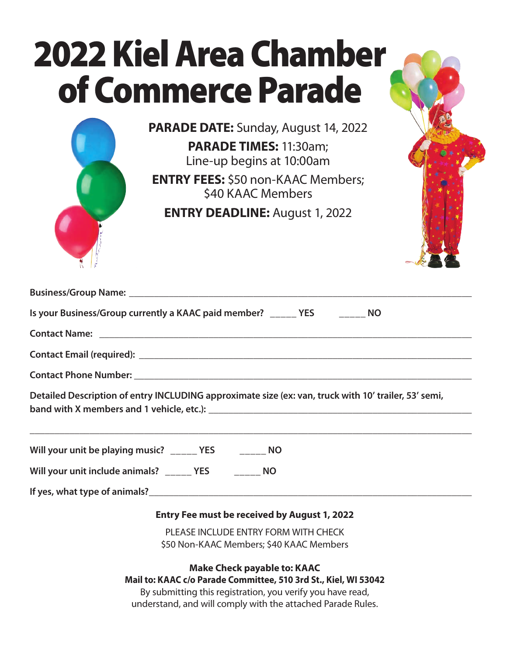|                      | <b>2022 Kiel Area Chamber</b>                                                                        |  |
|----------------------|------------------------------------------------------------------------------------------------------|--|
|                      | of Commerce Parade                                                                                   |  |
|                      | <b>PARADE DATE:</b> Sunday, August 14, 2022<br>PARADE TIMES: 11:30am;<br>Line-up begins at 10:00am   |  |
|                      | <b>ENTRY FEES:</b> \$50 non-KAAC Members;<br>\$40 KAAC Members                                       |  |
|                      | <b>ENTRY DEADLINE: August 1, 2022</b>                                                                |  |
|                      |                                                                                                      |  |
|                      | Is your Business/Group currently a KAAC paid member? _____ YES ___ ____ NO                           |  |
| <b>Contact Name:</b> |                                                                                                      |  |
|                      |                                                                                                      |  |
|                      |                                                                                                      |  |
|                      | Detailed Description of entry INCLUDING approximate size (ex: van, truck with 10' trailer, 53' semi, |  |
|                      | Will your unit be playing music? ______ YES ___ _____ NO                                             |  |
|                      | Will your unit include animals? ______ YES ___ _____ NO                                              |  |
|                      |                                                                                                      |  |
|                      | <b>Entry Fee must be received by August 1, 2022</b>                                                  |  |
|                      | PLEASE INCLUDE ENTRY FORM WITH CHECK<br>\$50 Non-KAAC Members; \$40 KAAC Members                     |  |
|                      | <b>Make Check payable to: KAAC</b>                                                                   |  |

**Mail to: KAAC c/o Parade Committee, 510 3rd St., Kiel, WI 53042**

By submitting this registration, you verify you have read, understand, and will comply with the attached Parade Rules.